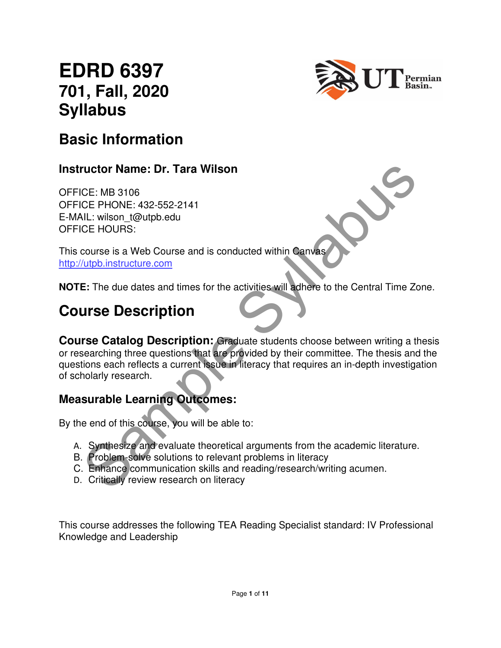# **EDRD 6397 701, Fall, 2020 Syllabus**



## **Basic Information**

#### **Instructor Name: Dr. Tara Wilson**

OFFICE: MB 3106 OFFICE PHONE: 432-552-2141 E-MAIL: wilson\_t@utpb.edu OFFICE HOURS:

This course is a Web Course and is conducted within Canvas http://utpb.instructure.com

**NOTE:** The due dates and times for the activities will adhere to the Central Time Zone.

## **Course Description**

**CE:** MB 3106<br>CE: MB 3106<br>CE: PHONE: 432-552-2141<br>CE: PHONE: 432-552-2141<br>CE: HOURS:<br>CUIDE: wilson 1@utipb.edu<br>CE: HOURS:<br>COURS:<br>COURS:<br>CUIDE: The due dates and times for the activities will adhere to the Central Time Zone **Course Catalog Description:** Graduate students choose between writing a thesis or researching three questions that are provided by their committee. The thesis and the questions each reflects a current issue in literacy that requires an in-depth investigation of scholarly research.

#### **Measurable Learning Outcomes:**

By the end of this course, you will be able to:

- A. Synthesize and evaluate theoretical arguments from the academic literature.
- B. Problem-solve solutions to relevant problems in literacy
- C. Enhance communication skills and reading/research/writing acumen.
- D. Critically review research on literacy

This course addresses the following TEA Reading Specialist standard: IV Professional Knowledge and Leadership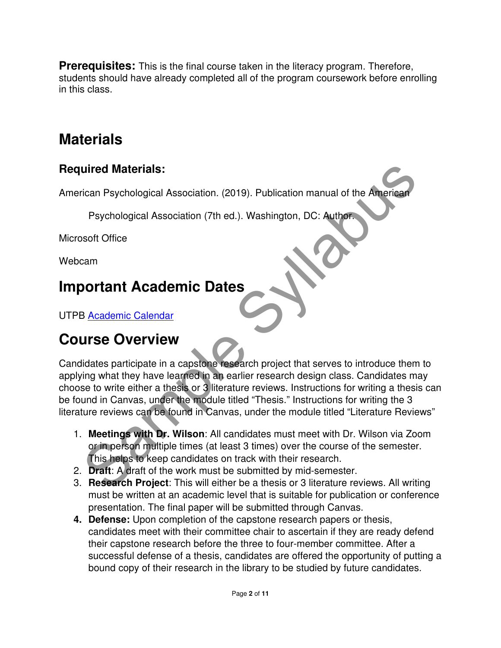**Prerequisites:** This is the final course taken in the literacy program. Therefore, students should have already completed all of the program coursework before enrolling in this class.

## **Materials**

#### **Required Materials:**

American Psychological Association. (2019). Publication manual of the American

Psychological Association (7th ed.). Washington, DC: Author.

Microsoft Office

Webcam

## **Important Academic Dates**

UTPB Academic Calendar

## **Course Overview**

Dealer Prophetics (2019). Publication manual of the American<br>
Psychological Association (7th ed.). Washington, DC: Author.<br>
Soft Office<br>
Soft Office<br>
Sample Syllabused Association (7th ed.). Washington, DC: Author.<br>
Soft O Candidates participate in a capstone research project that serves to introduce them to applying what they have learned in an earlier research design class. Candidates may choose to write either a thesis or 3 literature reviews. Instructions for writing a thesis can be found in Canvas, under the module titled "Thesis." Instructions for writing the 3 literature reviews can be found in Canvas, under the module titled "Literature Reviews"

- 1. **Meetings with Dr. Wilson**: All candidates must meet with Dr. Wilson via Zoom or in person multiple times (at least 3 times) over the course of the semester. This helps to keep candidates on track with their research.
- 2. **Draft**: A draft of the work must be submitted by mid-semester.
- 3. **Research Project**: This will either be a thesis or 3 literature reviews. All writing must be written at an academic level that is suitable for publication or conference presentation. The final paper will be submitted through Canvas.
- **4. Defense:** Upon completion of the capstone research papers or thesis, candidates meet with their committee chair to ascertain if they are ready defend their capstone research before the three to four-member committee. After a successful defense of a thesis, candidates are offered the opportunity of putting a bound copy of their research in the library to be studied by future candidates.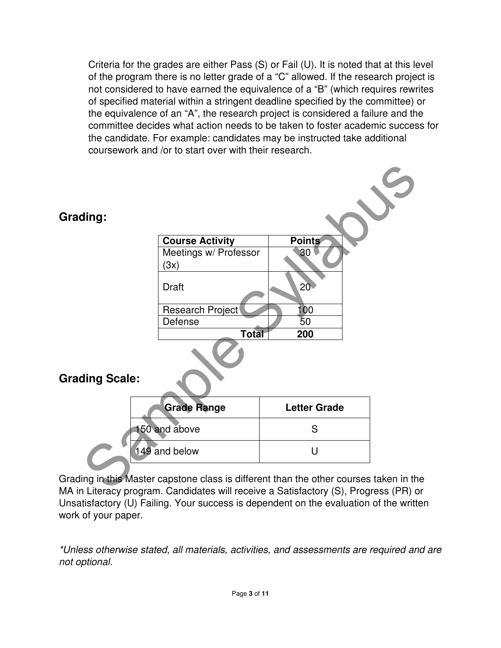Criteria for the grades are either Pass (S) or Fail (U). It is noted that at this level of the program there is no letter grade of a "C" allowed. If the research project is not considered to have earned the equivalence of a "B" (which requires rewrites of specified material within a stringent deadline specified by the committee) or the equivalence of an "A", the research project is considered a failure and the committee decides what action needs to be taken to foster academic success for the candidate. For example: candidates may be instructed take additional coursework and /or to start over with their research.

| Grading:                                                                                                                                                                      | <b>Course Activity</b><br>Meetings w/ Professor<br>(3x) | <b>Points</b><br>30         |  |  |  |  |
|-------------------------------------------------------------------------------------------------------------------------------------------------------------------------------|---------------------------------------------------------|-----------------------------|--|--|--|--|
|                                                                                                                                                                               | <b>Draft</b><br>Research Project<br>Defense             | 20 <sub>1</sub><br>00<br>50 |  |  |  |  |
| <b>Total</b><br>200<br><b>Grading Scale:</b>                                                                                                                                  |                                                         |                             |  |  |  |  |
|                                                                                                                                                                               | <b>Grade Range</b>                                      | <b>Letter Grade</b>         |  |  |  |  |
|                                                                                                                                                                               | 150 and above                                           | S                           |  |  |  |  |
| 149 and below                                                                                                                                                                 |                                                         | U                           |  |  |  |  |
| Grading in this Master capstone class is different than the other courses taken in the<br>MA in Literacy program, Candidates will receive a Satisfactory (S) Progress (PR) or |                                                         |                             |  |  |  |  |

Grading in this Master capstone class is different than the other courses taken in the MA in Literacy program. Candidates will receive a Satisfactory (S), Progress (PR) or Unsatisfactory (U) Failing. Your success is dependent on the evaluation of the written work of your paper.

\*Unless otherwise stated, all materials, activities, and assessments are required and are not optional.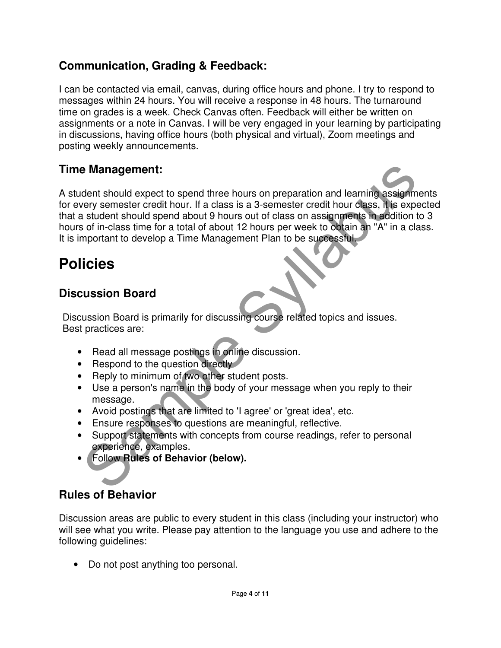#### **Communication, Grading & Feedback:**

I can be contacted via email, canvas, during office hours and phone. I try to respond to messages within 24 hours. You will receive a response in 48 hours. The turnaround time on grades is a week. Check Canvas often. Feedback will either be written on assignments or a note in Canvas. I will be very engaged in your learning by participating in discussions, having office hours (both physical and virtual), Zoom meetings and posting weekly announcements.

#### **Time Management:**

**Example Syllabuse Syllabuse Syllabuse Syllabuse Syllabuse Syllabuse Syllabuse Syllabuse Syllabuse Syllabuse Syllabuse Syllabuse Syllabuse Syllabuse Syllabuse Syllabuse Syllabuse Syllabuse Syllabuse Syllabuse Syllabuse Syl** A student should expect to spend three hours on preparation and learning assignments for every semester credit hour. If a class is a 3-semester credit hour class, it is expected that a student should spend about 9 hours out of class on assignments in addition to 3 hours of in-class time for a total of about 12 hours per week to obtain an "A" in a class. It is important to develop a Time Management Plan to be successful.

## **Policies**

#### **Discussion Board**

Discussion Board is primarily for discussing course related topics and issues. Best practices are:

- Read all message postings in online discussion.
- Respond to the question directly
- Reply to minimum of two other student posts.
- Use a person's name in the body of your message when you reply to their message.
- Avoid postings that are limited to 'I agree' or 'great idea', etc.
- Ensure responses to questions are meaningful, reflective.
- Support statements with concepts from course readings, refer to personal experience, examples.
- Follow **Rules of Behavior (below).**

### **Rules of Behavior**

Discussion areas are public to every student in this class (including your instructor) who will see what you write. Please pay attention to the language you use and adhere to the following guidelines:

• Do not post anything too personal.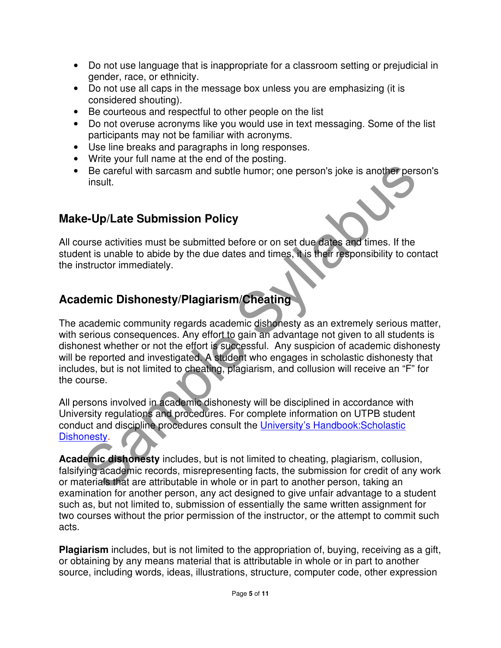- Do not use language that is inappropriate for a classroom setting or prejudicial in gender, race, or ethnicity.
- Do not use all caps in the message box unless you are emphasizing (it is considered shouting).
- Be courteous and respectful to other people on the list
- Do not overuse acronyms like you would use in text messaging. Some of the list participants may not be familiar with acronyms.
- Use line breaks and paragraphs in long responses.
- Write your full name at the end of the posting.
- Be careful with sarcasm and subtle humor; one person's joke is another person's insult.

### **Make-Up/Late Submission Policy**

All course activities must be submitted before or on set due dates and times. If the student is unable to abide by the due dates and times, it is their responsibility to contact the instructor immediately.

### **Academic Dishonesty/Plagiarism/Cheating**

Be careful with sarcasm and subtle humor; one person's joke is another person<br>insult.<br> **e-Up/Late Submission Policy**<br> **e-Up/Late Submission Policy**<br> **e-Up/Late Submission Policy**<br> **e-Up/Late Submission Policy**<br> **demic** bis The academic community regards academic dishonesty as an extremely serious matter, with serious consequences. Any effort to gain an advantage not given to all students is dishonest whether or not the effort is successful. Any suspicion of academic dishonesty will be reported and investigated. A student who engages in scholastic dishonesty that includes, but is not limited to cheating, plagiarism, and collusion will receive an "F" for the course.

All persons involved in academic dishonesty will be disciplined in accordance with University regulations and procedures. For complete information on UTPB student conduct and discipline procedures consult the University's Handbook:Scholastic Dishonesty.

**Academic dishonesty** includes, but is not limited to cheating, plagiarism, collusion, falsifying academic records, misrepresenting facts, the submission for credit of any work or materials that are attributable in whole or in part to another person, taking an examination for another person, any act designed to give unfair advantage to a student such as, but not limited to, submission of essentially the same written assignment for two courses without the prior permission of the instructor, or the attempt to commit such acts.

**Plagiarism** includes, but is not limited to the appropriation of, buying, receiving as a gift, or obtaining by any means material that is attributable in whole or in part to another source, including words, ideas, illustrations, structure, computer code, other expression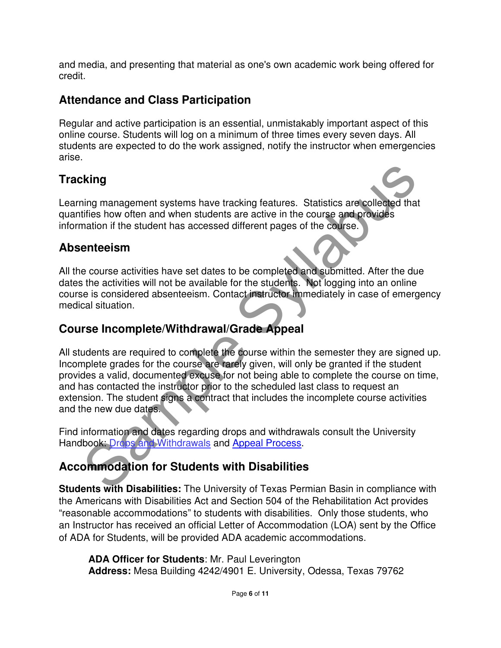and media, and presenting that material as one's own academic work being offered for credit.

### **Attendance and Class Participation**

Regular and active participation is an essential, unmistakably important aspect of this online course. Students will log on a minimum of three times every seven days. All students are expected to do the work assigned, notify the instructor when emergencies arise.

### **Tracking**

Learning management systems have tracking features. Statistics are collected that quantifies how often and when students are active in the course and provides information if the student has accessed different pages of the course.

#### **Absenteeism**

All the course activities have set dates to be completed and submitted. After the due dates the activities will not be available for the students. Not logging into an online course is considered absenteeism. Contact instructor immediately in case of emergency medical situation.

#### **Course Incomplete/Withdrawal/Grade Appeal**

**Example Systems** have tracking features. Statistics are collected that<br>tifies how often and when students are active in the course and provides<br>**enteriors**<br>**enteriors**<br>**enteriors**<br>**enteriors**<br>**enteriors**<br>**enteriors**<br>**e** c All students are required to complete the course within the semester they are signed up. Incomplete grades for the course are rarely given, will only be granted if the student provides a valid, documented excuse for not being able to complete the course on time, and has contacted the instructor prior to the scheduled last class to request an extension. The student signs a contract that includes the incomplete course activities and the new due dates.

Find information and dates regarding drops and withdrawals consult the University Handbook: Drops and Withdrawals and Appeal Process.

### **Accommodation for Students with Disabilities**

**Students with Disabilities:** The University of Texas Permian Basin in compliance with the Americans with Disabilities Act and Section 504 of the Rehabilitation Act provides "reasonable accommodations" to students with disabilities. Only those students, who an Instructor has received an official Letter of Accommodation (LOA) sent by the Office of ADA for Students, will be provided ADA academic accommodations.

**ADA Officer for Students**: Mr. Paul Leverington **Address:** Mesa Building 4242/4901 E. University, Odessa, Texas 79762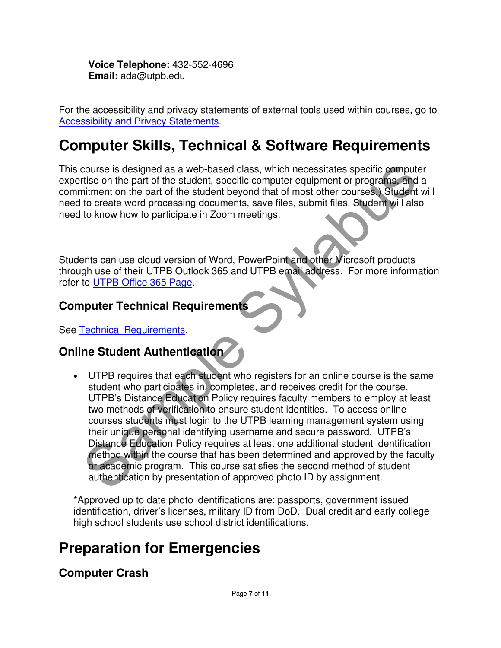**Voice Telephone:** 432-552-4696 **Email:** ada@utpb.edu

For the accessibility and privacy statements of external tools used within courses, go to Accessibility and Privacy Statements.

## **Computer Skills, Technical & Software Requirements**

This course is designed as a web-based class, which necessitates specific computer expertise on the part of the student, specific computer equipment or programs, and a commitment on the part of the student beyond that of most other courses.) Student will need to create word processing documents, save files, submit files. Student will also need to know how to participate in Zoom meetings.

Students can use cloud version of Word, PowerPoint and other Microsoft products through use of their UTPB Outlook 365 and UTPB email address. For more information refer to UTPB Office 365 Page.

#### **Computer Technical Requirements**

See Technical Requirements.

#### **Online Student Authentication**

course is designed as a web-based class, which necessitates specific computer<br>trise on the part of the student, specific computer equipment or programs and a<br>trisment on the part of the student beyond that of most other co • UTPB requires that each student who registers for an online course is the same student who participates in, completes, and receives credit for the course. UTPB's Distance Education Policy requires faculty members to employ at least two methods of verification to ensure student identities. To access online courses students must login to the UTPB learning management system using their unique personal identifying username and secure password. UTPB's Distance Education Policy requires at least one additional student identification method within the course that has been determined and approved by the faculty or academic program. This course satisfies the second method of student authentication by presentation of approved photo ID by assignment.

\*Approved up to date photo identifications are: passports, government issued identification, driver's licenses, military ID from DoD. Dual credit and early college high school students use school district identifications.

## **Preparation for Emergencies**

#### **Computer Crash**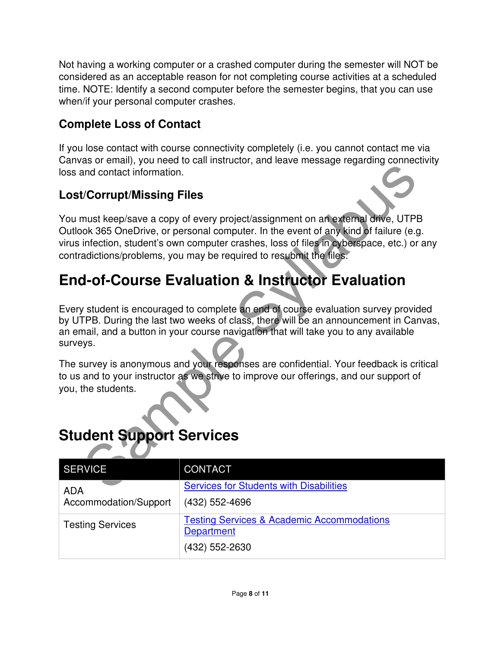Not having a working computer or a crashed computer during the semester will NOT be considered as an acceptable reason for not completing course activities at a scheduled time. NOTE: Identify a second computer before the semester begins, that you can use when/if your personal computer crashes.

### **Complete Loss of Contact**

If you lose contact with course connectivity completely (i.e. you cannot contact me via Canvas or email), you need to call instructor, and leave message regarding connectivity loss and contact information.

#### **Lost/Corrupt/Missing Files**

and contact information.<br>
Worrupt/Missing Files<br>
must keep/save a copy of every project/assignment on an external drive, UTPB<br>
olv. 365 OneDrive, or personal computer. In the event of any kind of failure (e.g.<br>
infection, You must keep/save a copy of every project/assignment on an external drive, UTPB Outlook 365 OneDrive, or personal computer. In the event of any kind of failure (e.g. virus infection, student's own computer crashes, loss of files in cyberspace, etc.) or any contradictions/problems, you may be required to resubmit the files.

## **End-of-Course Evaluation & Instructor Evaluation**

Every student is encouraged to complete an end of course evaluation survey provided by UTPB. During the last two weeks of class, there will be an announcement in Canvas, an email, and a button in your course navigation that will take you to any available surveys.

The survey is anonymous and your responses are confidential. Your feedback is critical to us and to your instructor as we strive to improve our offerings, and our support of you, the students.

## **Student Support Services**

| <b>SERVICE</b>          | <b>CONTACT</b>                                                             |
|-------------------------|----------------------------------------------------------------------------|
| <b>ADA</b>              | <b>Services for Students with Disabilities</b>                             |
| Accommodation/Support   | (432) 552-4696                                                             |
| <b>Testing Services</b> | <b>Testing Services &amp; Academic Accommodations</b><br><b>Department</b> |
|                         | (432) 552-2630                                                             |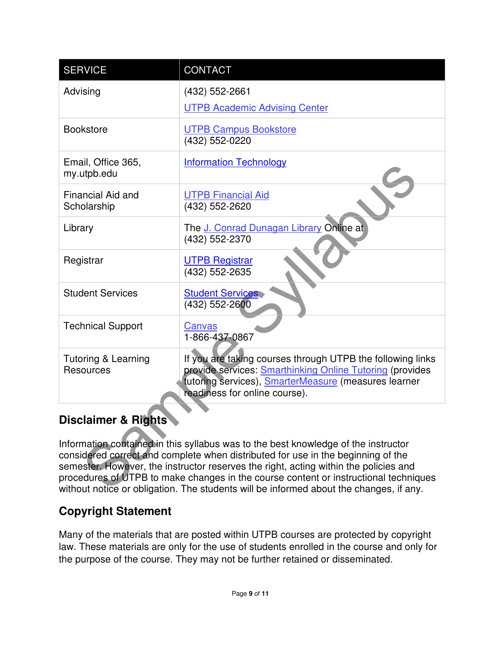| <b>SERVICE</b>                              | <b>CONTACT</b>                                                                                                                                                                                                                                                                                                                                                                                                                                  |  |  |  |
|---------------------------------------------|-------------------------------------------------------------------------------------------------------------------------------------------------------------------------------------------------------------------------------------------------------------------------------------------------------------------------------------------------------------------------------------------------------------------------------------------------|--|--|--|
| Advising                                    | (432) 552-2661<br><b>UTPB Academic Advising Center</b>                                                                                                                                                                                                                                                                                                                                                                                          |  |  |  |
| <b>Bookstore</b>                            | <b>UTPB Campus Bookstore</b><br>(432) 552-0220                                                                                                                                                                                                                                                                                                                                                                                                  |  |  |  |
| Email, Office 365,<br>my.utpb.edu           | <b>Information Technology</b>                                                                                                                                                                                                                                                                                                                                                                                                                   |  |  |  |
| Financial Aid and<br>Scholarship            | <b>UTPB Financial Aid</b><br>(432) 552-2620                                                                                                                                                                                                                                                                                                                                                                                                     |  |  |  |
| Library                                     | The J. Conrad Dunagan Library Online at<br>(432) 552-2370                                                                                                                                                                                                                                                                                                                                                                                       |  |  |  |
| Registrar                                   | <b>UTPB Registrar</b><br>(432) 552-2635                                                                                                                                                                                                                                                                                                                                                                                                         |  |  |  |
| <b>Student Services</b>                     | <b>Student Services</b><br>(432) 552-2600                                                                                                                                                                                                                                                                                                                                                                                                       |  |  |  |
| <b>Technical Support</b>                    | Canvas<br>1-866-437-0867                                                                                                                                                                                                                                                                                                                                                                                                                        |  |  |  |
| <b>Tutoring &amp; Learning</b><br>Resources | If you are taking courses through UTPB the following links<br>provide services: Smarthinking Online Tutoring (provides<br>tutoring services), <b>SmarterMeasure</b> (measures learner<br>readiness for online course).                                                                                                                                                                                                                          |  |  |  |
| <b>Disclaimer &amp; Rights</b>              |                                                                                                                                                                                                                                                                                                                                                                                                                                                 |  |  |  |
|                                             | Information contained in this syllabus was to the best knowledge of the instructor<br>considered correct and complete when distributed for use in the beginning of the<br>semester. However, the instructor reserves the right, acting within the policies and<br>procedures of UTPB to make changes in the course content or instructional techniques<br>without notice or obligation. The students will be informed about the changes, if any |  |  |  |

### **Disclaimer & Rights**

Information contained in this syllabus was to the best knowledge of the instructor considered correct and complete when distributed for use in the beginning of the semester. However, the instructor reserves the right, acting within the policies and procedures of UTPB to make changes in the course content or instructional techniques without notice or obligation. The students will be informed about the changes, if any.

### **Copyright Statement**

Many of the materials that are posted within UTPB courses are protected by copyright law. These materials are only for the use of students enrolled in the course and only for the purpose of the course. They may not be further retained or disseminated.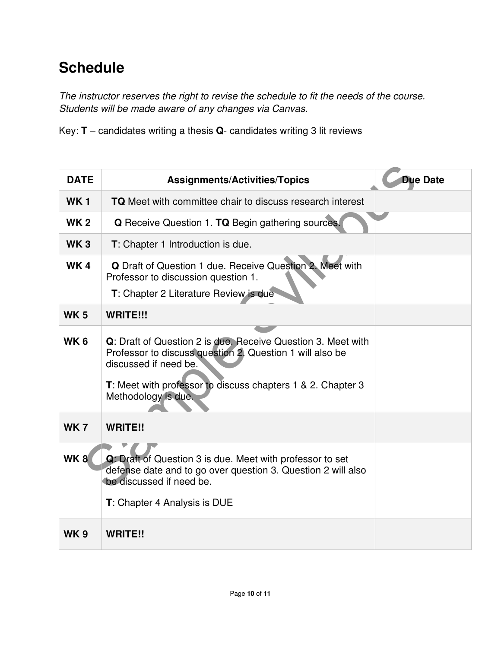## **Schedule**

The instructor reserves the right to revise the schedule to fit the needs of the course. Students will be made aware of any changes via Canvas.

Key: **T** – candidates writing a thesis **Q**- candidates writing 3 lit reviews

| <b>DATE</b>     | <b>Assignments/Activities/Topics</b>                                                                                                                                                                                                    | <b>Due Date</b> |
|-----------------|-----------------------------------------------------------------------------------------------------------------------------------------------------------------------------------------------------------------------------------------|-----------------|
| <b>WK1</b>      | <b>TQ</b> Meet with committee chair to discuss research interest                                                                                                                                                                        |                 |
| <b>WK 2</b>     | <b>Q</b> Receive Question 1. TQ Begin gathering sources.                                                                                                                                                                                |                 |
| <b>WK3</b>      | T: Chapter 1 Introduction is due.                                                                                                                                                                                                       |                 |
| <b>WK4</b>      | Q Draft of Question 1 due. Receive Question 2. Meet with<br>Professor to discussion question 1.<br><b>T</b> : Chapter 2 Literature Review is due                                                                                        |                 |
| <b>WK5</b>      | WRITE!!!                                                                                                                                                                                                                                |                 |
| WK <sub>6</sub> | Q: Draft of Question 2 is due. Receive Question 3. Meet with<br>Professor to discuss question 2. Question 1 will also be<br>discussed if need be.<br>T: Meet with professor to discuss chapters 1 & 2. Chapter 3<br>Methodology is due. |                 |
| <b>WK7</b>      | <b>WRITE!!</b>                                                                                                                                                                                                                          |                 |
| WK8             | Q: Draft of Question 3 is due. Meet with professor to set<br>defense date and to go over question 3. Question 2 will also<br>be discussed if need be.<br><b>T</b> : Chapter 4 Analysis is DUE                                           |                 |
| <b>WK9</b>      | <b>WRITE!!</b>                                                                                                                                                                                                                          |                 |